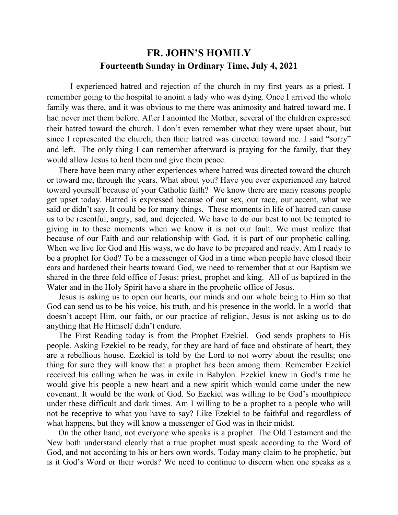## **FR. JOHN'S HOMILY Fourteenth Sunday in Ordinary Time, July 4, 2021**

 I experienced hatred and rejection of the church in my first years as a priest. I remember going to the hospital to anoint a lady who was dying. Once I arrived the whole family was there, and it was obvious to me there was animosity and hatred toward me. I had never met them before. After I anointed the Mother, several of the children expressed their hatred toward the church. I don't even remember what they were upset about, but since I represented the church, then their hatred was directed toward me. I said "sorry" and left. The only thing I can remember afterward is praying for the family, that they would allow Jesus to heal them and give them peace.

 There have been many other experiences where hatred was directed toward the church or toward me, through the years. What about you? Have you ever experienced any hatred toward yourself because of your Catholic faith? We know there are many reasons people get upset today. Hatred is expressed because of our sex, our race, our accent, what we said or didn't say. It could be for many things. These moments in life of hatred can cause us to be resentful, angry, sad, and dejected. We have to do our best to not be tempted to giving in to these moments when we know it is not our fault. We must realize that because of our Faith and our relationship with God, it is part of our prophetic calling. When we live for God and His ways, we do have to be prepared and ready. Am I ready to be a prophet for God? To be a messenger of God in a time when people have closed their ears and hardened their hearts toward God, we need to remember that at our Baptism we shared in the three fold office of Jesus: priest, prophet and king. All of us baptized in the Water and in the Holy Spirit have a share in the prophetic office of Jesus.

 Jesus is asking us to open our hearts, our minds and our whole being to Him so that God can send us to be his voice, his truth, and his presence in the world. In a world that doesn't accept Him, our faith, or our practice of religion, Jesus is not asking us to do anything that He Himself didn't endure.

 The First Reading today is from the Prophet Ezekiel. God sends prophets to His people. Asking Ezekiel to be ready, for they are hard of face and obstinate of heart, they are a rebellious house. Ezekiel is told by the Lord to not worry about the results; one thing for sure they will know that a prophet has been among them. Remember Ezekiel received his calling when he was in exile in Babylon. Ezekiel knew in God's time he would give his people a new heart and a new spirit which would come under the new covenant. It would be the work of God. So Ezekiel was willing to be God's mouthpiece under these difficult and dark times. Am I willing to be a prophet to a people who will not be receptive to what you have to say? Like Ezekiel to be faithful and regardless of what happens, but they will know a messenger of God was in their midst.

 On the other hand, not everyone who speaks is a prophet. The Old Testament and the New both understand clearly that a true prophet must speak according to the Word of God, and not according to his or hers own words. Today many claim to be prophetic, but is it God's Word or their words? We need to continue to discern when one speaks as a